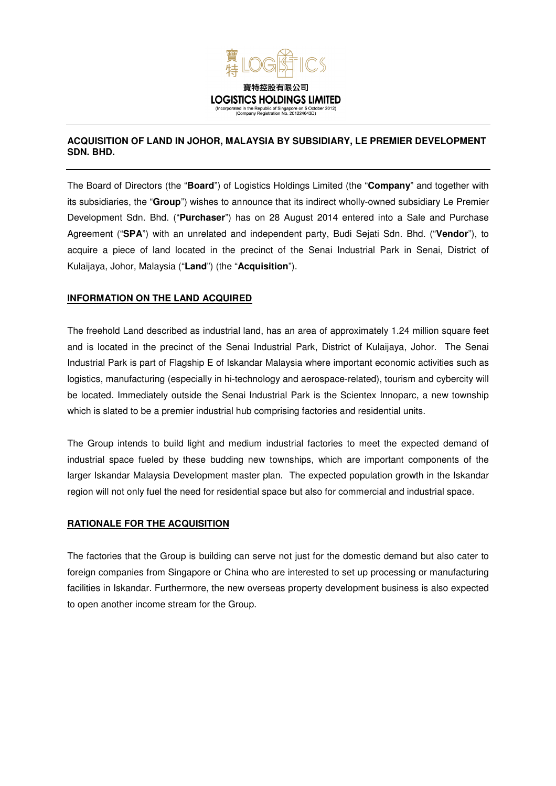

## **ACQUISITION OF LAND IN JOHOR, MALAYSIA BY SUBSIDIARY, LE PREMIER DEVELOPMENT SDN. BHD.**

The Board of Directors (the "**Board**") of Logistics Holdings Limited (the "**Company**" and together with its subsidiaries, the "**Group**") wishes to announce that its indirect wholly-owned subsidiary Le Premier Development Sdn. Bhd. ("**Purchaser**") has on 28 August 2014 entered into a Sale and Purchase Agreement ("**SPA**") with an unrelated and independent party, Budi Sejati Sdn. Bhd. ("**Vendor**"), to acquire a piece of land located in the precinct of the Senai Industrial Park in Senai, District of Kulaijaya, Johor, Malaysia ("**Land**") (the "**Acquisition**").

# **INFORMATION ON THE LAND ACQUIRED**

The freehold Land described as industrial land, has an area of approximately 1.24 million square feet and is located in the precinct of the Senai Industrial Park, District of Kulaijaya, Johor. The Senai Industrial Park is part of Flagship E of Iskandar Malaysia where important economic activities such as logistics, manufacturing (especially in hi-technology and aerospace-related), tourism and cybercity will be located. Immediately outside the Senai Industrial Park is the Scientex Innoparc, a new township which is slated to be a premier industrial hub comprising factories and residential units.

The Group intends to build light and medium industrial factories to meet the expected demand of industrial space fueled by these budding new townships, which are important components of the larger Iskandar Malaysia Development master plan. The expected population growth in the Iskandar region will not only fuel the need for residential space but also for commercial and industrial space.

#### **RATIONALE FOR THE ACQUISITION**

The factories that the Group is building can serve not just for the domestic demand but also cater to foreign companies from Singapore or China who are interested to set up processing or manufacturing facilities in Iskandar. Furthermore, the new overseas property development business is also expected to open another income stream for the Group.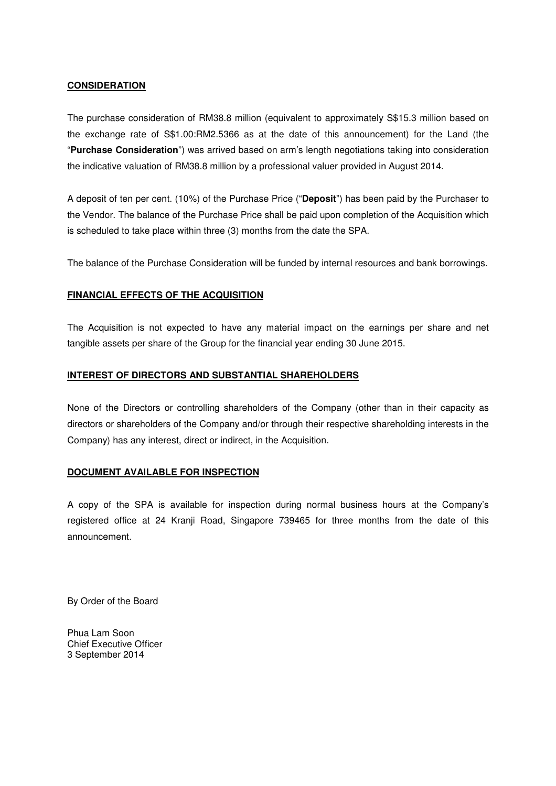## **CONSIDERATION**

The purchase consideration of RM38.8 million (equivalent to approximately S\$15.3 million based on the exchange rate of S\$1.00:RM2.5366 as at the date of this announcement) for the Land (the "**Purchase Consideration**") was arrived based on arm's length negotiations taking into consideration the indicative valuation of RM38.8 million by a professional valuer provided in August 2014.

A deposit of ten per cent. (10%) of the Purchase Price ("**Deposit**") has been paid by the Purchaser to the Vendor. The balance of the Purchase Price shall be paid upon completion of the Acquisition which is scheduled to take place within three (3) months from the date the SPA.

The balance of the Purchase Consideration will be funded by internal resources and bank borrowings.

## **FINANCIAL EFFECTS OF THE ACQUISITION**

The Acquisition is not expected to have any material impact on the earnings per share and net tangible assets per share of the Group for the financial year ending 30 June 2015.

## **INTEREST OF DIRECTORS AND SUBSTANTIAL SHAREHOLDERS**

None of the Directors or controlling shareholders of the Company (other than in their capacity as directors or shareholders of the Company and/or through their respective shareholding interests in the Company) has any interest, direct or indirect, in the Acquisition.

#### **DOCUMENT AVAILABLE FOR INSPECTION**

A copy of the SPA is available for inspection during normal business hours at the Company's registered office at 24 Kranji Road, Singapore 739465 for three months from the date of this announcement.

By Order of the Board

Phua Lam Soon Chief Executive Officer 3 September 2014